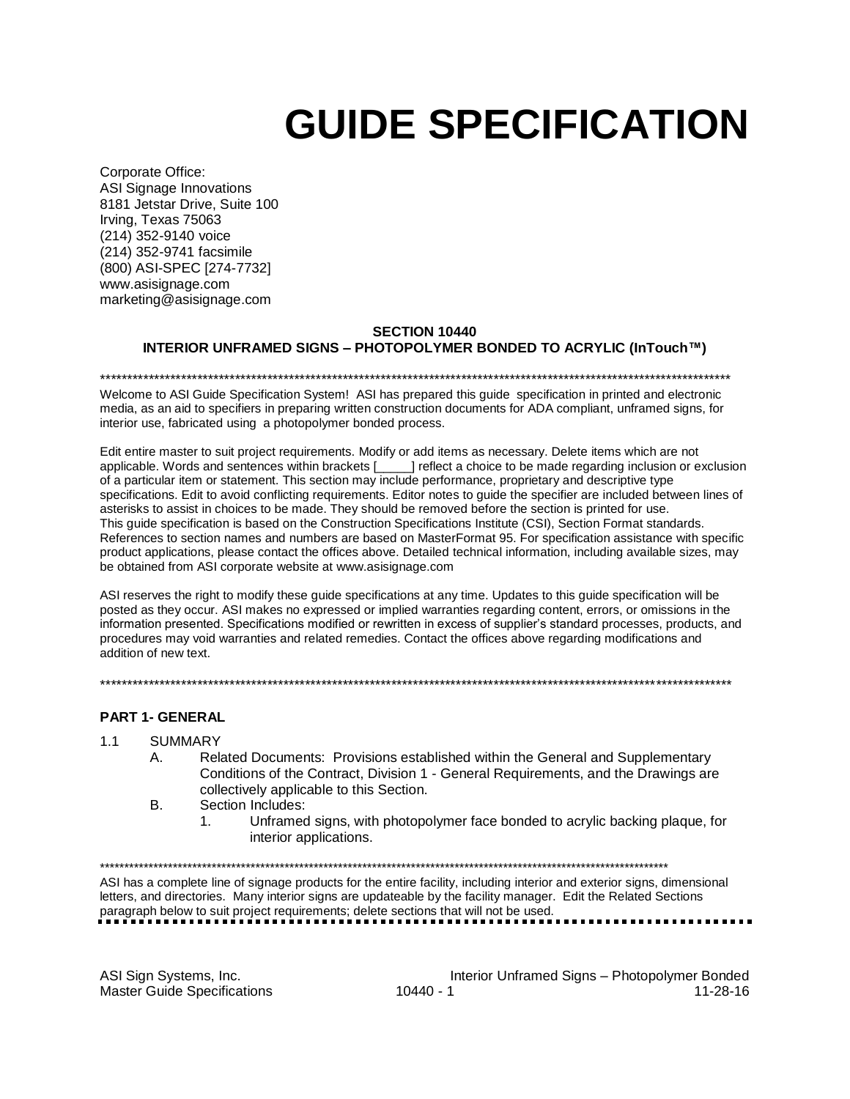# GUIDE SPECIFICATION

Corporate Office: ASI Signage Innovations 8181 Jetstar Drive, Suite 100 Irving, Texas 75063 (214) 352-9140 voice (214) 352-9741 facsimile (800) ASI-SPEC [274-7732] www.asisignage.com marketing@asisignage.com

## SECTION 10440

## INTERIOR UNFRAMED SIGNS – PHOTOPOLYMER BONDED TO ACRYLIC (InTouch™)

Welcome to ASI Guide Specification System! ASI has prepared this guide specification in printed and electronic media, as an aid to specifiers in preparing written construction documents for ADA compliant, unframed signs, for interior use, fabricated using a photopolymer bonded process.

\*\*\*\*\*\*\*\*\*\*\*\*\*\*\*\*\*\*\*\*\*\*\*\*\*\*\*\*\*\*\*\*\*\*\*\*\*\*\*\*\*\*\*\*\*\*\*\*\*\*\*\*\*\*\*\*\*\*\*\*\*\*\*\*\*\*\*\*\*\*\*\*\*\*\*\*\*\*\*\*\*\*\*\*\*\*\*\*\*\*\*\*\*\*\*\*\*\*\*\*\*\*\*\*\*\*\*\*\*\*\*\*\*\*\*\*\*

Edit entire master to suit project requirements. Modify or add items as necessary. Delete items which are not applicable. Words and sentences within brackets [\_\_\_\_\_] reflect a choice to be made regarding inclusion or exclusion of a particular item or statement. This section may include performance, proprietary and descriptive type specifications. Edit to avoid conflicting requirements. Editor notes to guide the specifier are included between lines of asterisks to assist in choices to be made. They should be removed before the section is printed for use. This guide specification is based on the Construction Specifications Institute (CSI), Section Format standards. References to section names and numbers are based on MasterFormat 95. For specification assistance with specific product applications, please contact the offices above. Detailed technical information, including available sizes, may be obtained from ASI corporate website at www.asisignage.com

ASI reserves the right to modify these guide specifications at any time. Updates to this guide specification will be posted as they occur. ASI makes no expressed or implied warranties regarding content, errors, or omissions in the information presented. Specifications modified or rewritten in excess of supplier's standard processes, products, and procedures may void warranties and related remedies. Contact the offices above regarding modifications and addition of new text.

\*\*\*\*\*\*\*\*\*\*\*\*\*\*\*\*\*\*\*\*\*\*\*\*\*\*\*\*\*\*\*\*\*\*\*\*\*\*\*\*\*\*\*\*\*\*\*\*\*\*\*\*\*\*\*\*\*\*\*\*\*\*\*\*\*\*\*\*\*\*\*\*\*\*\*\*\*\*\*\*\*\*\*\*\*\*\*\*\*\*\*\*\*\*\*\*\*\*\*\*\*\*\*\*\*\*\*\*\*\*\*\*\*\*\*\*\*

## PART 1- GENERAL

#### 1.1 SUMMARY

- A. Related Documents: Provisions established within the General and Supplementary Conditions of the Contract, Division 1 - General Requirements, and the Drawings are collectively applicable to this Section.
- B. Section Includes:
	- 1. Unframed signs, with photopolymer face bonded to acrylic backing plaque, for interior applications.

\*\*\*\*\*\*\*\*\*\*\*\*\*\*\*\*\*\*\*\*\*\*\*\*\*\*\*\*\*\*\*\*\*\*\*\*\*\*\*\*\*\*\*\*\*\*\*\*\*\*\*\*\*\*\*\*\*\*\*\*\*\*\*\*\*\*\*\*\*\*\*\*\*\*\*\*\*\*\*\*\*\*\*\*\*\*\*\*\*\*\*\*\*\*\*\*\*\*\*\*\*\*\*\*\*\*\*\*\*\*\*\*\*\*\*\*\*

ASI has a complete line of signage products for the entire facility, including interior and exterior signs, dimensional letters, and directories. Many interior signs are updateable by the facility manager. Edit the Related Sections paragraph below to suit project requirements; delete sections that will not be used.

ASI Sign Systems, Inc.<br>11-28-16<br>11-28-16 Master Guide Specifications 10440 - 1 10440 - 1 11-28-16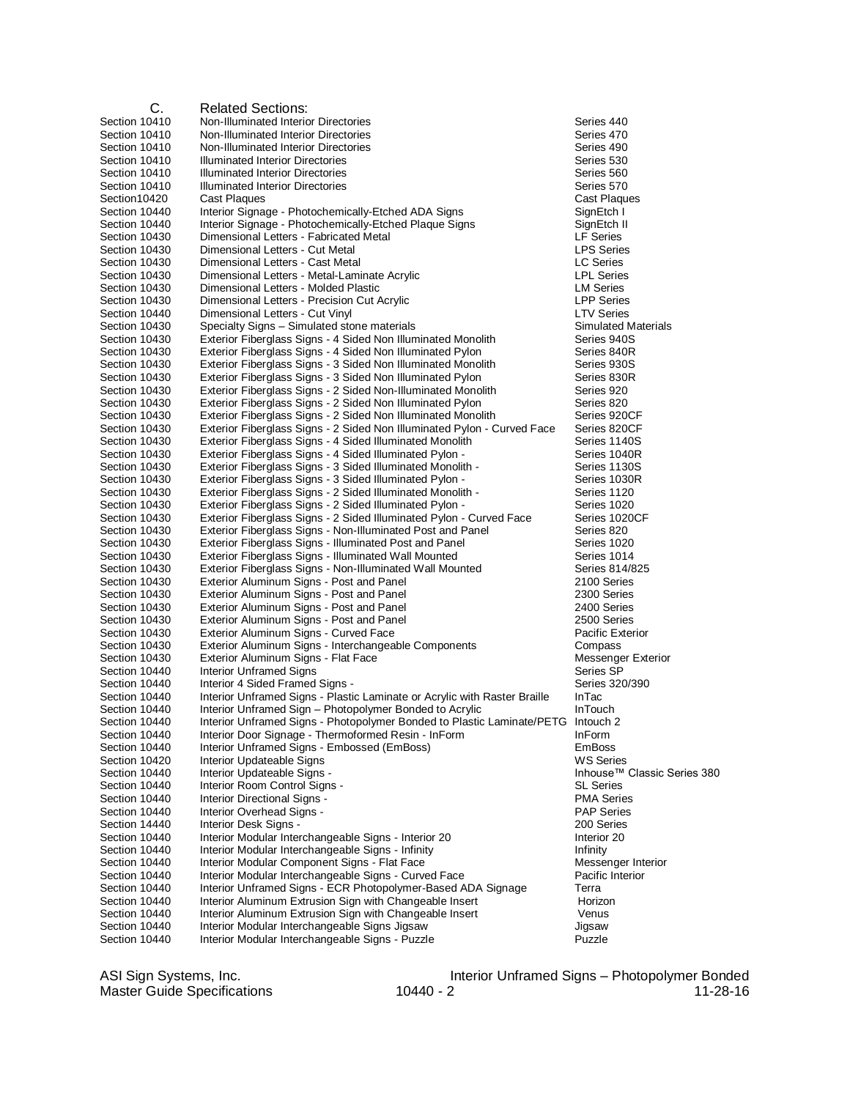| С.            | <b>Related Sections:</b>                                                         |                                         |
|---------------|----------------------------------------------------------------------------------|-----------------------------------------|
| Section 10410 | Non-Illuminated Interior Directories                                             | Series 440                              |
| Section 10410 | Non-Illuminated Interior Directories                                             | Series 470                              |
| Section 10410 | Non-Illuminated Interior Directories                                             | Series 490                              |
| Section 10410 | Illuminated Interior Directories                                                 | Series 530                              |
| Section 10410 | Illuminated Interior Directories                                                 | Series 560                              |
| Section 10410 | Illuminated Interior Directories                                                 | Series 570                              |
| Section10420  | Cast Plaques                                                                     | <b>Cast Plaques</b>                     |
| Section 10440 | Interior Signage - Photochemically-Etched ADA Signs                              | SignEtch I                              |
| Section 10440 | Interior Signage - Photochemically-Etched Plaque Signs                           | SignEtch II                             |
| Section 10430 | Dimensional Letters - Fabricated Metal                                           | <b>LF Series</b>                        |
| Section 10430 | Dimensional Letters - Cut Metal                                                  | <b>LPS Series</b>                       |
| Section 10430 | Dimensional Letters - Cast Metal                                                 | LC Series                               |
| Section 10430 | Dimensional Letters - Metal-Laminate Acrylic                                     | <b>LPL Series</b>                       |
| Section 10430 | Dimensional Letters - Molded Plastic                                             | <b>LM Series</b>                        |
| Section 10430 | Dimensional Letters - Precision Cut Acrylic                                      | <b>LPP Series</b>                       |
| Section 10440 | Dimensional Letters - Cut Vinyl                                                  | <b>LTV Series</b>                       |
| Section 10430 | Specialty Signs - Simulated stone materials                                      | <b>Simulated Materials</b>              |
| Section 10430 | Exterior Fiberglass Signs - 4 Sided Non Illuminated Monolith                     | Series 940S                             |
| Section 10430 | Exterior Fiberglass Signs - 4 Sided Non Illuminated Pylon                        | Series 840R                             |
| Section 10430 | Exterior Fiberglass Signs - 3 Sided Non Illuminated Monolith                     | Series 930S                             |
| Section 10430 | Exterior Fiberglass Signs - 3 Sided Non Illuminated Pylon                        | Series 830R                             |
| Section 10430 | Exterior Fiberglass Signs - 2 Sided Non-Illuminated Monolith                     | Series 920                              |
| Section 10430 | Exterior Fiberglass Signs - 2 Sided Non Illuminated Pylon                        | Series 820                              |
| Section 10430 | Exterior Fiberglass Signs - 2 Sided Non Illuminated Monolith                     | Series 920CF                            |
| Section 10430 | Exterior Fiberglass Signs - 2 Sided Non Illuminated Pylon - Curved Face          | Series 820CF                            |
| Section 10430 | Exterior Fiberglass Signs - 4 Sided Illuminated Monolith                         | Series 1140S                            |
| Section 10430 | Exterior Fiberglass Signs - 4 Sided Illuminated Pylon -                          | Series 1040R                            |
| Section 10430 | Exterior Fiberglass Signs - 3 Sided Illuminated Monolith -                       | Series 1130S                            |
| Section 10430 | Exterior Fiberglass Signs - 3 Sided Illuminated Pylon -                          | Series 1030R                            |
| Section 10430 | Exterior Fiberglass Signs - 2 Sided Illuminated Monolith -                       | Series 1120                             |
| Section 10430 | Exterior Fiberglass Signs - 2 Sided Illuminated Pylon -                          | Series 1020                             |
| Section 10430 | Exterior Fiberglass Signs - 2 Sided Illuminated Pylon - Curved Face              | Series 1020CF                           |
| Section 10430 | Exterior Fiberglass Signs - Non-Illuminated Post and Panel                       | Series 820                              |
| Section 10430 | Exterior Fiberglass Signs - Illuminated Post and Panel                           | Series 1020                             |
| Section 10430 | Exterior Fiberglass Signs - Illuminated Wall Mounted                             | Series 1014                             |
| Section 10430 | Exterior Fiberglass Signs - Non-Illuminated Wall Mounted                         | Series 814/825                          |
| Section 10430 | Exterior Aluminum Signs - Post and Panel                                         | 2100 Series                             |
| Section 10430 | Exterior Aluminum Signs - Post and Panel                                         | 2300 Series                             |
| Section 10430 | Exterior Aluminum Signs - Post and Panel                                         | 2400 Series                             |
| Section 10430 | Exterior Aluminum Signs - Post and Panel                                         | 2500 Series                             |
| Section 10430 | Exterior Aluminum Signs - Curved Face                                            | Pacific Exterior                        |
| Section 10430 | Exterior Aluminum Signs - Interchangeable Components                             | Compass                                 |
| Section 10430 | Exterior Aluminum Signs - Flat Face                                              | Messenger Exterior                      |
| Section 10440 | Interior Unframed Signs                                                          | Series SP                               |
| Section 10440 | Interior 4 Sided Framed Signs -                                                  | Series 320/390                          |
| Section 10440 | Interior Unframed Signs - Plastic Laminate or Acrylic with Raster Braille        | <b>InTac</b>                            |
| Section 10440 | Interior Unframed Sign - Photopolymer Bonded to Acrylic                          | <b>InTouch</b>                          |
| Section 10440 | Interior Unframed Signs - Photopolymer Bonded to Plastic Laminate/PETG Intouch 2 |                                         |
| Section 10440 | Interior Door Signage - Thermoformed Resin - InForm                              | <b>InForm</b>                           |
| Section 10440 | Interior Unframed Signs - Embossed (EmBoss)                                      | <b>EmBoss</b>                           |
| Section 10420 | Interior Updateable Signs                                                        | <b>WS Series</b>                        |
| Section 10440 | Interior Updateable Signs -                                                      | Inhouse <sup>™</sup> Classic Series 380 |
| Section 10440 | Interior Room Control Signs -                                                    | <b>SL Series</b>                        |
| Section 10440 | Interior Directional Signs -                                                     | <b>PMA Series</b>                       |
| Section 10440 | Interior Overhead Signs -                                                        | <b>PAP Series</b>                       |
| Section 14440 | Interior Desk Signs -                                                            | 200 Series                              |
| Section 10440 | Interior Modular Interchangeable Signs - Interior 20                             | Interior 20                             |
| Section 10440 | Interior Modular Interchangeable Signs - Infinity                                | Infinity                                |
| Section 10440 | Interior Modular Component Signs - Flat Face                                     | Messenger Interior                      |
| Section 10440 | Interior Modular Interchangeable Signs - Curved Face                             | Pacific Interior                        |
| Section 10440 | Interior Unframed Signs - ECR Photopolymer-Based ADA Signage                     | Terra                                   |
| Section 10440 | Interior Aluminum Extrusion Sign with Changeable Insert                          | Horizon                                 |
| Section 10440 | Interior Aluminum Extrusion Sign with Changeable Insert                          | Venus                                   |
| Section 10440 | Interior Modular Interchangeable Signs Jigsaw                                    | Jigsaw                                  |
| Section 10440 | Interior Modular Interchangeable Signs - Puzzle                                  | Puzzle                                  |

ASI Sign Systems, Inc.<br>Master Guide Specifications

Interior Unframed Signs – Photopolymer Bonded<br>1938-16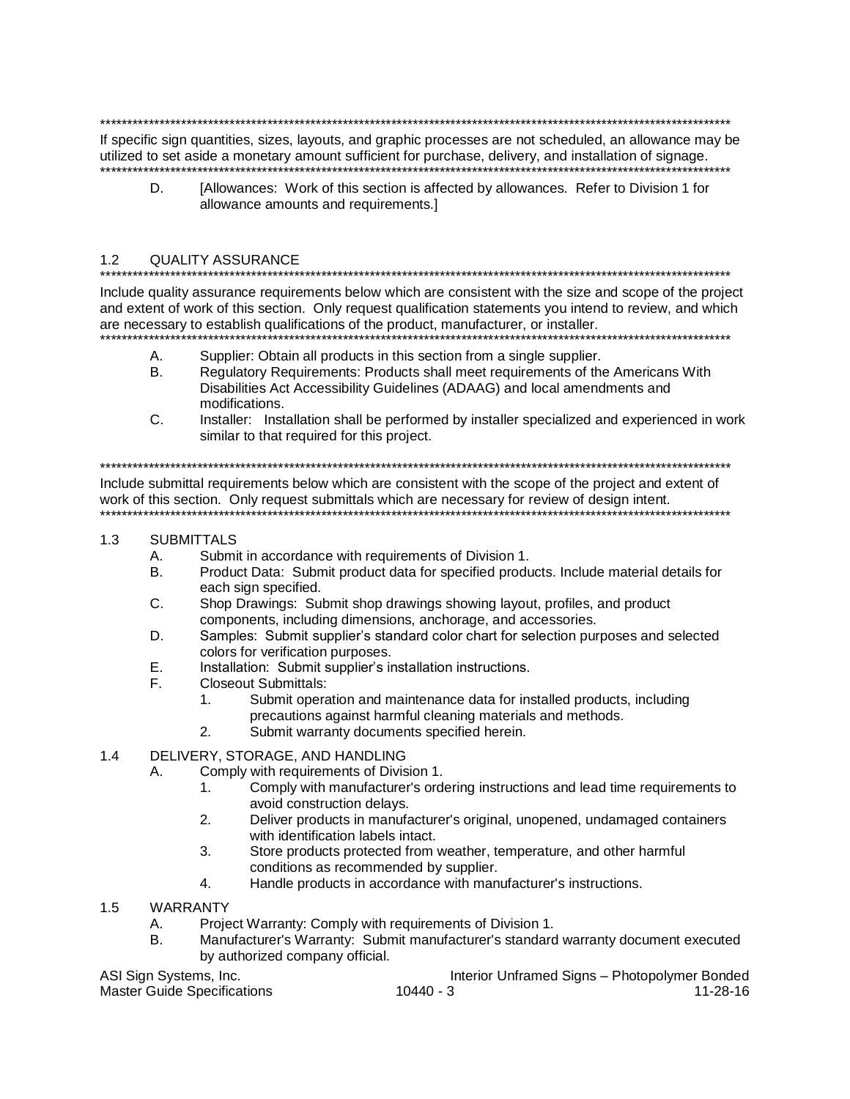If specific sign quantities, sizes, layouts, and graphic processes are not scheduled, an allowance may be utilized to set aside a monetary amount sufficient for purchase, delivery, and installation of signage.

D. [Allowances: Work of this section is affected by allowances. Refer to Division 1 for allowance amounts and requirements.]

#### $1.2$ **QUALITY ASSURANCE**

Include quality assurance requirements below which are consistent with the size and scope of the project and extent of work of this section. Only request qualification statements you intend to review, and which are necessary to establish qualifications of the product, manufacturer, or installer.

- Supplier: Obtain all products in this section from a single supplier. A.
- **B.** Regulatory Requirements: Products shall meet requirements of the Americans With Disabilities Act Accessibility Guidelines (ADAAG) and local amendments and modifications.
- $C_{1}$ Installer: Installation shall be performed by installer specialized and experienced in work similar to that required for this project.

Include submittal requirements below which are consistent with the scope of the project and extent of work of this section. Only request submittals which are necessary for review of design intent. 

#### $1.3$ SUBMITTALS

- Α. Submit in accordance with requirements of Division 1.
- Product Data: Submit product data for specified products. Include material details for **B.** each sign specified.
- C. Shop Drawings: Submit shop drawings showing layout, profiles, and product components, including dimensions, anchorage, and accessories.
- Samples: Submit supplier's standard color chart for selection purposes and selected D. colors for verification purposes.
- Е. Installation: Submit supplier's installation instructions.
- F. **Closeout Submittals:** 
	- $1<sub>1</sub>$ Submit operation and maintenance data for installed products, including precautions against harmful cleaning materials and methods.
	- Submit warranty documents specified herein.  $2.$

#### DELIVERY, STORAGE, AND HANDLING  $1.4$

- Comply with requirements of Division 1. Α.
	- Comply with manufacturer's ordering instructions and lead time requirements to 1. avoid construction delays.
	- $2.$ Deliver products in manufacturer's original, unopened, undamaged containers with identification labels intact.
	- Store products protected from weather, temperature, and other harmful 3. conditions as recommended by supplier.
	- $4.$ Handle products in accordance with manufacturer's instructions.
- $1.5$ **WARRANTY** 
	- Project Warranty: Comply with requirements of Division 1.  $A_{1}$
	- Manufacturer's Warranty: Submit manufacturer's standard warranty document executed Β. by authorized company official.

ASI Sign Systems, Inc.

**Master Guide Specifications** 

Interior Unframed Signs - Photopolymer Bonded  $11 - 28 - 16$  $10440 - 3$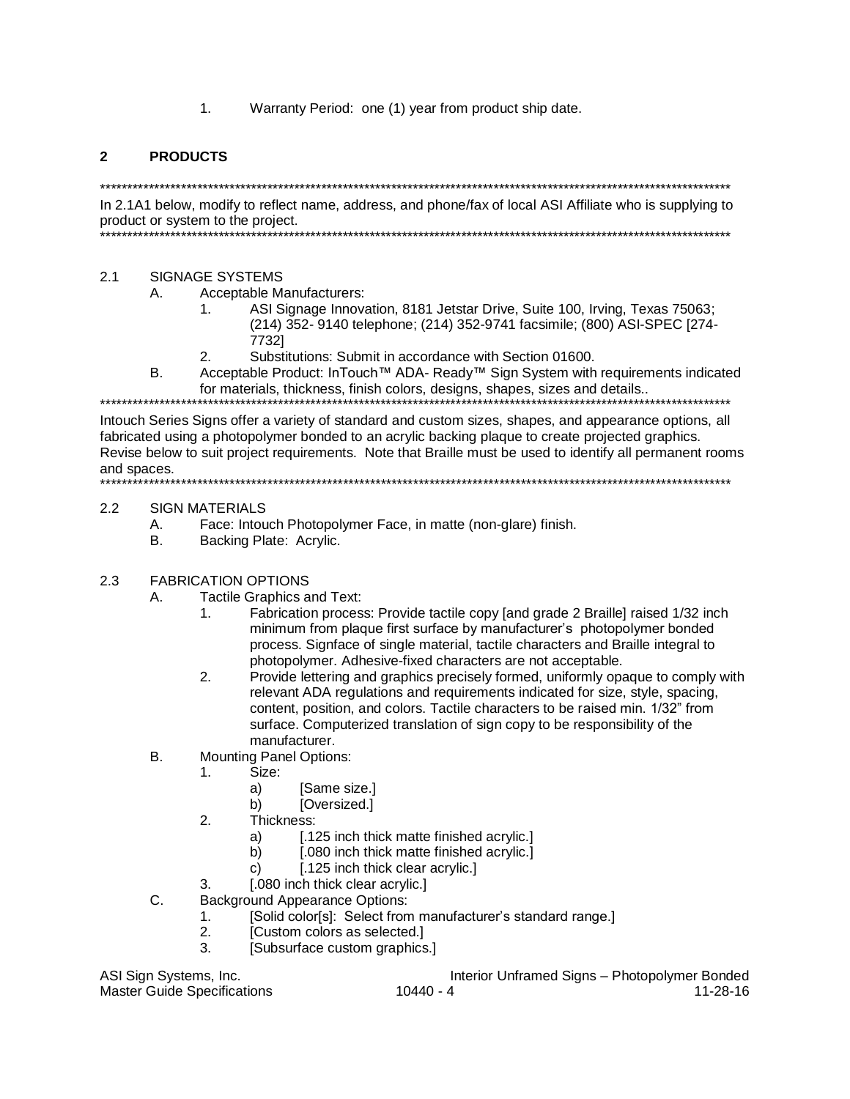1. Warranty Period: one (1) year from product ship date.

## 2 PRODUCTS

\*\*\*\*\*\*\*\*\*\*\*\*\*\*\*\*\*\*\*\*\*\*\*\*\*\*\*\*\*\*\*\*\*\*\*\*\*\*\*\*\*\*\*\*\*\*\*\*\*\*\*\*\*\*\*\*\*\*\*\*\*\*\*\*\*\*\*\*\*\*\*\*\*\*\*\*\*\*\*\*\*\*\*\*\*\*\*\*\*\*\*\*\*\*\*\*\*\*\*\*\*\*\*\*\*\*\*\*\*\*\*\*\*\*\*\*\* In 2.1A1 below, modify to reflect name, address, and phone/fax of local ASI Affiliate who is supplying to product or system to the project.

\*\*\*\*\*\*\*\*\*\*\*\*\*\*\*\*\*\*\*\*\*\*\*\*\*\*\*\*\*\*\*\*\*\*\*\*\*\*\*\*\*\*\*\*\*\*\*\*\*\*\*\*\*\*\*\*\*\*\*\*\*\*\*\*\*\*\*\*\*\*\*\*\*\*\*\*\*\*\*\*\*\*\*\*\*\*\*\*\*\*\*\*\*\*\*\*\*\*\*\*\*\*\*\*\*\*\*\*\*\*\*\*\*\*\*\*\*

## 2.1 SIGNAGE SYSTEMS

- A. Acceptable Manufacturers:
	- 1. ASI Signage Innovation, 8181 Jetstar Drive, Suite 100, Irving, Texas 75063; (214) 352- 9140 telephone; (214) 352-9741 facsimile; (800) ASI-SPEC [274- 7732]
	- 2. Substitutions: Submit in accordance with Section 01600.
- B. Acceptable Product: InTouch™ ADA- Ready™ Sign System with requirements indicated for materials, thickness, finish colors, designs, shapes, sizes and details..

\*\*\*\*\*\*\*\*\*\*\*\*\*\*\*\*\*\*\*\*\*\*\*\*\*\*\*\*\*\*\*\*\*\*\*\*\*\*\*\*\*\*\*\*\*\*\*\*\*\*\*\*\*\*\*\*\*\*\*\*\*\*\*\*\*\*\*\*\*\*\*\*\*\*\*\*\*\*\*\*\*\*\*\*\*\*\*\*\*\*\*\*\*\*\*\*\*\*\*\*\*\*\*\*\*\*\*\*\*\*\*\*\*\*\*\*\* Intouch Series Signs offer a variety of standard and custom sizes, shapes, and appearance options, all fabricated using a photopolymer bonded to an acrylic backing plaque to create projected graphics. Revise below to suit project requirements. Note that Braille must be used to identify all permanent rooms and spaces. \*\*\*\*\*\*\*\*\*\*\*\*\*\*\*\*\*\*\*\*\*\*\*\*\*\*\*\*\*\*\*\*\*\*\*\*\*\*\*\*\*\*\*\*\*\*\*\*\*\*\*\*\*\*\*\*\*\*\*\*\*\*\*\*\*\*\*\*\*\*\*\*\*\*\*\*\*\*\*\*\*\*\*\*\*\*\*\*\*\*\*\*\*\*\*\*\*\*\*\*\*\*\*\*\*\*\*\*\*\*\*\*\*\*\*\*\*

#### 2.2 SIGN MATERIALS

- A. Face: Intouch Photopolymer Face, in matte (non-glare) finish.
- B. Backing Plate: Acrylic.

### 2.3 FABRICATION OPTIONS

- A. Tactile Graphics and Text:
	- 1. Fabrication process: Provide tactile copy [and grade 2 Braille] raised 1/32 inch minimum from plaque first surface by manufacturer's photopolymer bonded process. Signface of single material, tactile characters and Braille integral to photopolymer. Adhesive-fixed characters are not acceptable.
	- 2. Provide lettering and graphics precisely formed, uniformly opaque to comply with relevant ADA regulations and requirements indicated for size, style, spacing, content, position, and colors. Tactile characters to be raised min. 1/32" from surface. Computerized translation of sign copy to be responsibility of the manufacturer.
- B. Mounting Panel Options:
	- 1. Size:
		- a) [Same size.]
		- b) [Oversized.]
	- 2. Thickness:
		- a) [.125 inch thick matte finished acrylic.]
		- b) [.080 inch thick matte finished acrylic.]
		- c) [.125 inch thick clear acrylic.]
	- 3. [.080 inch thick clear acrylic.]
- C. Background Appearance Options:
	- 1. [Solid color[s]: Select from manufacturer's standard range.]
	- 2. [Custom colors as selected.]
	- 3. [Subsurface custom graphics.]

ASI Sign Systems, Inc. The State of the Interior Unframed Signs – Photopolymer Bonded Master Guide Specifications 10440 - 10440 - 4 11-28-16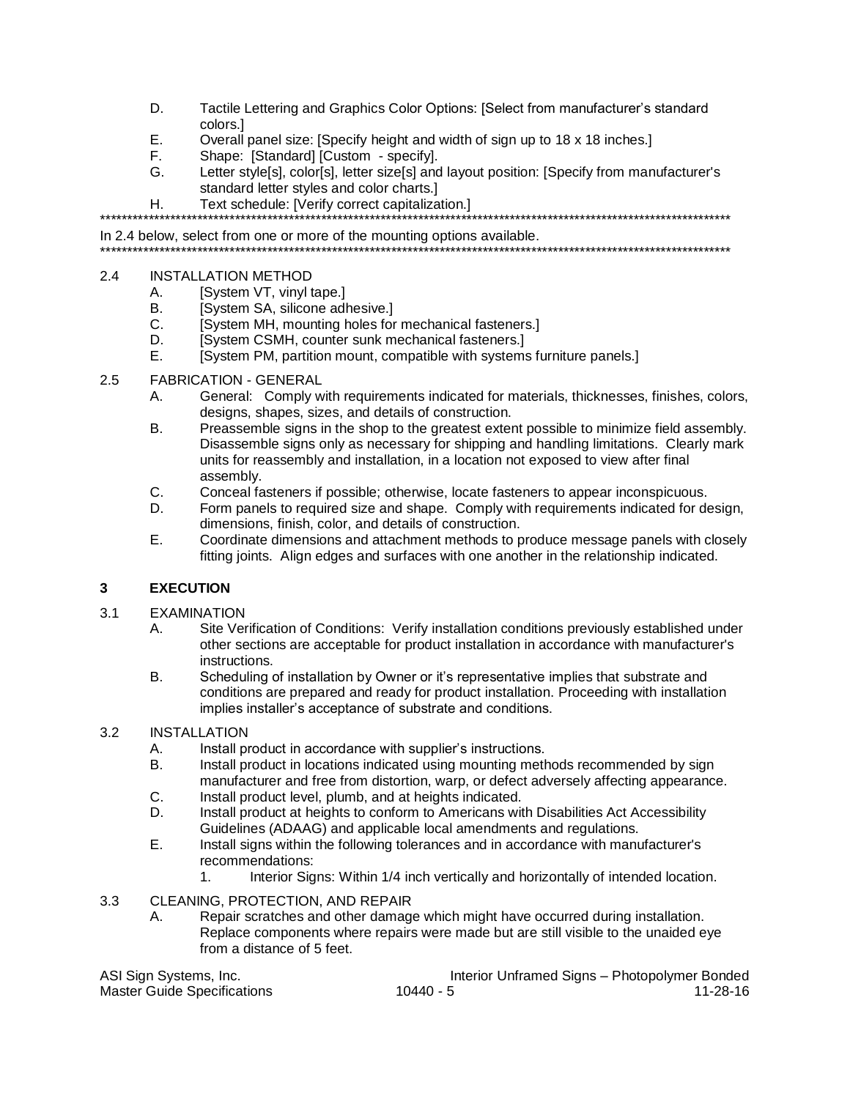- D. Tactile Lettering and Graphics Color Options: [Select from manufacturer's standard colors.1
- E. Overall panel size: [Specify height and width of sign up to 18 x 18 inches.]
- F. Shape: [Standard] [Custom - specify].
- G. Letter style[s], color[s], letter size[s] and layout position: [Specify from manufacturer's standard letter styles and color charts.]
- Text schedule: [Verify correct capitalization.] Η.

In 2.4 below, select from one or more of the mounting options available. 

- $2.4$ **INSTALLATION METHOD** 
	- [System VT, vinyl tape.] А.
	- **B**. **ISystem SA, silicone adhesive.**
	- C. [System MH, mounting holes for mechanical fasteners.]
	- D. [System CSMH, counter sunk mechanical fasteners.]
	- E. [System PM, partition mount, compatible with systems furniture panels.]
- $2.5$ **FABRICATION - GENERAL** 
	- General: Comply with requirements indicated for materials, thicknesses, finishes, colors, Α. designs, shapes, sizes, and details of construction.
	- Preassemble signs in the shop to the greatest extent possible to minimize field assembly. B. Disassemble signs only as necessary for shipping and handling limitations. Clearly mark units for reassembly and installation, in a location not exposed to view after final assembly.
	- $C_{-}$ Conceal fasteners if possible; otherwise, locate fasteners to appear inconspicuous.
	- Form panels to required size and shape. Comply with requirements indicated for design, D. dimensions, finish, color, and details of construction.
	- F. Coordinate dimensions and attachment methods to produce message panels with closely fitting joints. Align edges and surfaces with one another in the relationship indicated.

#### $\overline{3}$ **EXECUTION**

#### $3.1$ **EXAMINATION**

- Site Verification of Conditions: Verify installation conditions previously established under А. other sections are acceptable for product installation in accordance with manufacturer's instructions.
- Scheduling of installation by Owner or it's representative implies that substrate and B. conditions are prepared and ready for product installation. Proceeding with installation implies installer's acceptance of substrate and conditions.

#### $3.2$ **INSTALLATION**

- А. Install product in accordance with supplier's instructions.
- **B.** Install product in locations indicated using mounting methods recommended by sign manufacturer and free from distortion, warp, or defect adversely affecting appearance.  $C_{1}$ Install product level, plumb, and at heights indicated.
- Install product at heights to conform to Americans with Disabilities Act Accessibility D.
- Guidelines (ADAAG) and applicable local amendments and regulations.
- Ε. Install signs within the following tolerances and in accordance with manufacturer's recommendations:
	- Interior Signs: Within 1/4 inch vertically and horizontally of intended location.  $\mathbf{1}$
- $3.3$ CLEANING, PROTECTION, AND REPAIR
	- Repair scratches and other damage which might have occurred during installation. А. Replace components where repairs were made but are still visible to the unaided eye from a distance of 5 feet.

ASI Sign Systems, Inc. Master Guide Specifications

Interior Unframed Signs - Photopolymer Bonded  $10440 - 5$  $11 - 28 - 16$